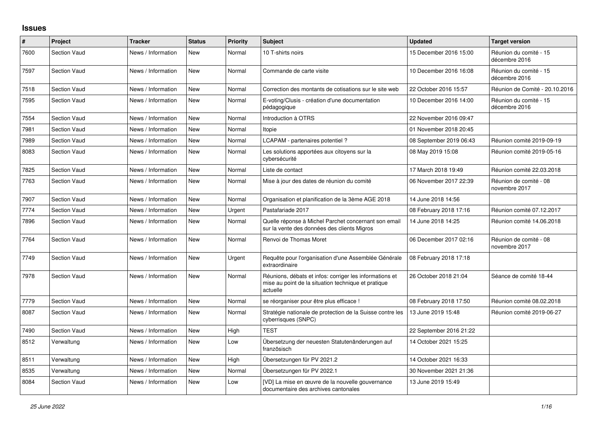## **Issues**

| #    | Project             | <b>Tracker</b>     | <b>Status</b> | Priority | <b>Subject</b>                                                                                                             | <b>Updated</b>          | <b>Target version</b>                   |
|------|---------------------|--------------------|---------------|----------|----------------------------------------------------------------------------------------------------------------------------|-------------------------|-----------------------------------------|
| 7600 | <b>Section Vaud</b> | News / Information | <b>New</b>    | Normal   | 10 T-shirts noirs                                                                                                          | 15 December 2016 15:00  | Réunion du comité - 15<br>décembre 2016 |
| 7597 | <b>Section Vaud</b> | News / Information | <b>New</b>    | Normal   | Commande de carte visite                                                                                                   | 10 December 2016 16:08  | Réunion du comité - 15<br>décembre 2016 |
| 7518 | <b>Section Vaud</b> | News / Information | <b>New</b>    | Normal   | Correction des montants de cotisations sur le site web                                                                     | 22 October 2016 15:57   | Réunion de Comité - 20.10.2016          |
| 7595 | <b>Section Vaud</b> | News / Information | New           | Normal   | E-voting/Clusis - création d'une documentation<br>pédagogique                                                              | 10 December 2016 14:00  | Réunion du comité - 15<br>décembre 2016 |
| 7554 | <b>Section Vaud</b> | News / Information | <b>New</b>    | Normal   | Introduction à OTRS                                                                                                        | 22 November 2016 09:47  |                                         |
| 7981 | <b>Section Vaud</b> | News / Information | <b>New</b>    | Normal   | Itopie                                                                                                                     | 01 November 2018 20:45  |                                         |
| 7989 | <b>Section Vaud</b> | News / Information | <b>New</b>    | Normal   | LCAPAM - partenaires potentiel ?                                                                                           | 08 September 2019 06:43 | Réunion comité 2019-09-19               |
| 8083 | <b>Section Vaud</b> | News / Information | <b>New</b>    | Normal   | Les solutions apportées aux citoyens sur la<br>cybersécurité                                                               | 08 May 2019 15:08       | Réunion comité 2019-05-16               |
| 7825 | <b>Section Vaud</b> | News / Information | New           | Normal   | Liste de contact                                                                                                           | 17 March 2018 19:49     | Réunion comité 22.03.2018               |
| 7763 | <b>Section Vaud</b> | News / Information | <b>New</b>    | Normal   | Mise à jour des dates de réunion du comité                                                                                 | 06 November 2017 22:39  | Réunion de comité - 08<br>novembre 2017 |
| 7907 | <b>Section Vaud</b> | News / Information | New           | Normal   | Organisation et planification de la 3ème AGE 2018                                                                          | 14 June 2018 14:56      |                                         |
| 7774 | <b>Section Vaud</b> | News / Information | New           | Urgent   | Pastafariade 2017                                                                                                          | 08 February 2018 17:16  | Réunion comité 07.12.2017               |
| 7896 | <b>Section Vaud</b> | News / Information | <b>New</b>    | Normal   | Quelle réponse à Michel Parchet concernant son email<br>sur la vente des données des clients Migros                        | 14 June 2018 14:25      | Réunion comité 14.06.2018               |
| 7764 | <b>Section Vaud</b> | News / Information | <b>New</b>    | Normal   | Renvoi de Thomas Moret                                                                                                     | 06 December 2017 02:16  | Réunion de comité - 08<br>novembre 2017 |
| 7749 | <b>Section Vaud</b> | News / Information | New           | Urgent   | Requête pour l'organisation d'une Assemblée Générale<br>extraordinaire                                                     | 08 February 2018 17:18  |                                         |
| 7978 | <b>Section Vaud</b> | News / Information | <b>New</b>    | Normal   | Réunions, débats et infos: corriger les informations et<br>mise au point de la situation technique et pratique<br>actuelle | 26 October 2018 21:04   | Séance de comité 18-44                  |
| 7779 | <b>Section Vaud</b> | News / Information | <b>New</b>    | Normal   | se réorganiser pour être plus efficace !                                                                                   | 08 February 2018 17:50  | Réunion comité 08.02.2018               |
| 8087 | <b>Section Vaud</b> | News / Information | <b>New</b>    | Normal   | Stratégie nationale de protection de la Suisse contre les<br>cyberrisques (SNPC)                                           | 13 June 2019 15:48      | Réunion comité 2019-06-27               |
| 7490 | <b>Section Vaud</b> | News / Information | <b>New</b>    | High     | <b>TEST</b>                                                                                                                | 22 September 2016 21:22 |                                         |
| 8512 | Verwaltung          | News / Information | New           | Low      | Übersetzung der neuesten Statutenänderungen auf<br>französisch                                                             | 14 October 2021 15:25   |                                         |
| 8511 | Verwaltung          | News / Information | <b>New</b>    | High     | Übersetzungen für PV 2021.2                                                                                                | 14 October 2021 16:33   |                                         |
| 8535 | Verwaltung          | News / Information | <b>New</b>    | Normal   | Übersetzungen für PV 2022.1                                                                                                | 30 November 2021 21:36  |                                         |
| 8084 | <b>Section Vaud</b> | News / Information | <b>New</b>    | Low      | [VD] La mise en œuvre de la nouvelle gouvernance<br>documentaire des archives cantonales                                   | 13 June 2019 15:49      |                                         |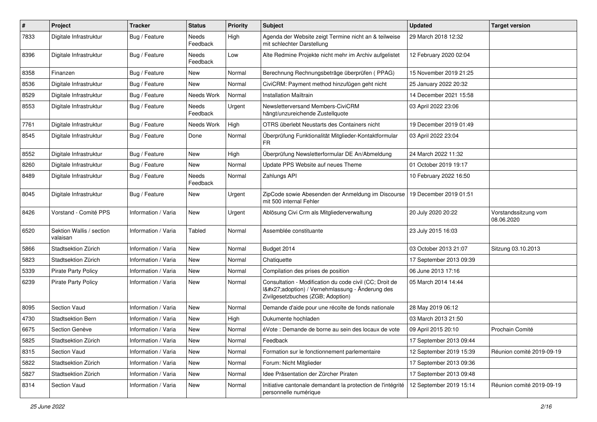| $\pmb{\#}$ | Project                              | <b>Tracker</b>      | <b>Status</b>     | <b>Priority</b> | Subject                                                                                                                                     | <b>Updated</b>          | <b>Target version</b>              |
|------------|--------------------------------------|---------------------|-------------------|-----------------|---------------------------------------------------------------------------------------------------------------------------------------------|-------------------------|------------------------------------|
| 7833       | Digitale Infrastruktur               | Bug / Feature       | Needs<br>Feedback | High            | Agenda der Website zeigt Termine nicht an & teilweise<br>mit schlechter Darstellung                                                         | 29 March 2018 12:32     |                                    |
| 8396       | Digitale Infrastruktur               | Bug / Feature       | Needs<br>Feedback | Low             | Alte Redmine Projekte nicht mehr im Archiv aufgelistet                                                                                      | 12 February 2020 02:04  |                                    |
| 8358       | Finanzen                             | Bug / Feature       | <b>New</b>        | Normal          | Berechnung Rechnungsbeträge überprüfen (PPAG)                                                                                               | 15 November 2019 21:25  |                                    |
| 8536       | Digitale Infrastruktur               | Bug / Feature       | New               | Normal          | CiviCRM: Payment method hinzufügen geht nicht                                                                                               | 25 January 2022 20:32   |                                    |
| 8529       | Digitale Infrastruktur               | Bug / Feature       | Needs Work        | Normal          | <b>Installation Mailtrain</b>                                                                                                               | 14 December 2021 15:58  |                                    |
| 8553       | Digitale Infrastruktur               | Bug / Feature       | Needs<br>Feedback | Urgent          | Newsletterversand Members-CiviCRM<br>hängt/unzureichende Zustellquote                                                                       | 03 April 2022 23:06     |                                    |
| 7761       | Digitale Infrastruktur               | Bug / Feature       | Needs Work        | High            | OTRS überlebt Neustarts des Containers nicht                                                                                                | 19 December 2019 01:49  |                                    |
| 8545       | Digitale Infrastruktur               | Bug / Feature       | Done              | Normal          | Überprüfung Funktionalität Mitglieder-Kontaktformular<br>FR                                                                                 | 03 April 2022 23:04     |                                    |
| 8552       | Digitale Infrastruktur               | Bug / Feature       | <b>New</b>        | High            | Überprüfung Newsletterformular DE An/Abmeldung                                                                                              | 24 March 2022 11:32     |                                    |
| 8260       | Digitale Infrastruktur               | Bug / Feature       | New               | Normal          | Update PPS Website auf neues Theme                                                                                                          | 01 October 2019 19:17   |                                    |
| 8489       | Digitale Infrastruktur               | Bug / Feature       | Needs<br>Feedback | Normal          | Zahlungs API                                                                                                                                | 10 February 2022 16:50  |                                    |
| 8045       | Digitale Infrastruktur               | Bug / Feature       | New               | Urgent          | ZipCode sowie Abesenden der Anmeldung im Discourse<br>mit 500 internal Fehler                                                               | 19 December 2019 01:51  |                                    |
| 8426       | Vorstand - Comité PPS                | Information / Varia | <b>New</b>        | Urgent          | Ablösung Civi Crm als Mitgliederverwaltung                                                                                                  | 20 July 2020 20:22      | Vorstandssitzung vom<br>08.06.2020 |
| 6520       | Sektion Wallis / section<br>valaisan | Information / Varia | Tabled            | Normal          | Assemblée constituante                                                                                                                      | 23 July 2015 16:03      |                                    |
| 5866       | Stadtsektion Zürich                  | Information / Varia | <b>New</b>        | Normal          | Budget 2014                                                                                                                                 | 03 October 2013 21:07   | Sitzung 03.10.2013                 |
| 5823       | Stadtsektion Zürich                  | Information / Varia | <b>New</b>        | Normal          | Chatiquette                                                                                                                                 | 17 September 2013 09:39 |                                    |
| 5339       | <b>Pirate Party Policy</b>           | Information / Varia | New               | Normal          | Compilation des prises de position                                                                                                          | 06 June 2013 17:16      |                                    |
| 6239       | <b>Pirate Party Policy</b>           | Information / Varia | <b>New</b>        | Normal          | Consultation - Modification du code civil (CC; Droit de<br>I'adoption) / Vernehmlassung - Änderung des<br>Zivilgesetzbuches (ZGB; Adoption) | 05 March 2014 14:44     |                                    |
| 8095       | Section Vaud                         | Information / Varia | New               | Normal          | Demande d'aide pour une récolte de fonds nationale                                                                                          | 28 May 2019 06:12       |                                    |
| 4730       | Stadtsektion Bern                    | Information / Varia | <b>New</b>        | High            | Dukumente hochladen                                                                                                                         | 03 March 2013 21:50     |                                    |
| 6675       | Section Genève                       | Information / Varia | New               | Normal          | éVote : Demande de borne au sein des locaux de vote                                                                                         | 09 April 2015 20:10     | Prochain Comité                    |
| 5825       | Stadtsektion Zürich                  | Information / Varia | New               | Normal          | Feedback                                                                                                                                    | 17 September 2013 09:44 |                                    |
| 8315       | Section Vaud                         | Information / Varia | New               | Normal          | Formation sur le fonctionnement parlementaire                                                                                               | 12 September 2019 15:39 | Réunion comité 2019-09-19          |
| 5822       | Stadtsektion Zürich                  | Information / Varia | New               | Normal          | Forum: Nicht Mitglieder                                                                                                                     | 17 September 2013 09:36 |                                    |
| 5827       | Stadtsektion Zürich                  | Information / Varia | New               | Normal          | Idee Präsentation der Zürcher Piraten                                                                                                       | 17 September 2013 09:48 |                                    |
| 8314       | Section Vaud                         | Information / Varia | New               | Normal          | Initiative cantonale demandant la protection de l'intégrité<br>personnelle numérique                                                        | 12 September 2019 15:14 | Réunion comité 2019-09-19          |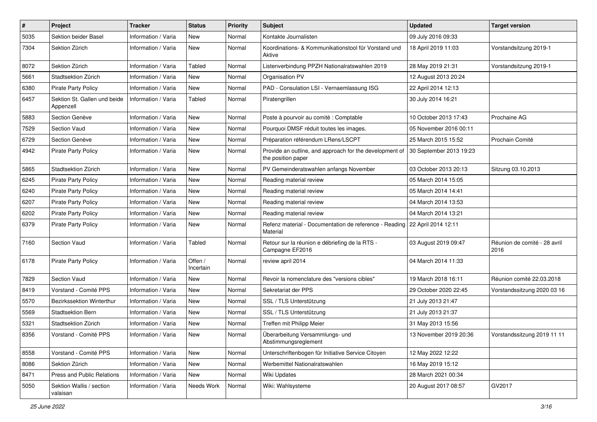| $\pmb{\#}$ | Project                                   | <b>Tracker</b>      | <b>Status</b>        | <b>Priority</b> | <b>Subject</b>                                                                | <b>Updated</b>          | <b>Target version</b>                |
|------------|-------------------------------------------|---------------------|----------------------|-----------------|-------------------------------------------------------------------------------|-------------------------|--------------------------------------|
| 5035       | Sektion beider Basel                      | Information / Varia | New                  | Normal          | Kontakte Journalisten                                                         | 09 July 2016 09:33      |                                      |
| 7304       | Sektion Zürich                            | Information / Varia | New                  | Normal          | Koordinations- & Kommunikationstool für Vorstand und<br>Aktive                | 18 April 2019 11:03     | Vorstandsitzung 2019-1               |
| 8072       | Sektion Zürich                            | Information / Varia | Tabled               | Normal          | Listenverbindung PPZH Nationalratswahlen 2019                                 | 28 May 2019 21:31       | Vorstandsitzung 2019-1               |
| 5661       | Stadtsektion Zürich                       | Information / Varia | <b>New</b>           | Normal          | Organisation PV                                                               | 12 August 2013 20:24    |                                      |
| 6380       | <b>Pirate Party Policy</b>                | Information / Varia | New                  | Normal          | PAD - Consulation LSI - Vernaemlassung ISG                                    | 22 April 2014 12:13     |                                      |
| 6457       | Sektion St. Gallen und beide<br>Appenzell | Information / Varia | Tabled               | Normal          | Piratengrillen                                                                | 30 July 2014 16:21      |                                      |
| 5883       | Section Genève                            | Information / Varia | <b>New</b>           | Normal          | Poste à pourvoir au comité : Comptable                                        | 10 October 2013 17:43   | Prochaine AG                         |
| 7529       | Section Vaud                              | Information / Varia | New                  | Normal          | Pourquoi DMSF réduit toutes les images.                                       | 05 November 2016 00:11  |                                      |
| 6729       | Section Genève                            | Information / Varia | <b>New</b>           | Normal          | Préparation référendum LRens/LSCPT                                            | 25 March 2015 15:52     | Prochain Comité                      |
| 4942       | Pirate Party Policy                       | Information / Varia | <b>New</b>           | Normal          | Provide an outline, and approach for the development of<br>the position paper | 30 September 2013 19:23 |                                      |
| 5865       | Stadtsektion Zürich                       | Information / Varia | <b>New</b>           | Normal          | PV Gemeinderatswahlen anfangs November                                        | 03 October 2013 20:13   | Sitzung 03.10.2013                   |
| 6245       | <b>Pirate Party Policy</b>                | Information / Varia | <b>New</b>           | Normal          | Reading material review                                                       | 05 March 2014 15:05     |                                      |
| 6240       | <b>Pirate Party Policy</b>                | Information / Varia | New                  | Normal          | Reading material review                                                       | 05 March 2014 14:41     |                                      |
| 6207       | <b>Pirate Party Policy</b>                | Information / Varia | <b>New</b>           | Normal          | Reading material review                                                       | 04 March 2014 13:53     |                                      |
| 6202       | <b>Pirate Party Policy</b>                | Information / Varia | New                  | Normal          | Reading material review                                                       | 04 March 2014 13:21     |                                      |
| 6379       | <b>Pirate Party Policy</b>                | Information / Varia | New                  | Normal          | Refenz material - Documentation de reference - Reading<br>Material            | 22 April 2014 12:11     |                                      |
| 7160       | Section Vaud                              | Information / Varia | Tabled               | Normal          | Retour sur la réunion e débriefing de la RTS -<br>Campagne EF2016             | 03 August 2019 09:47    | Réunion de comité - 28 avril<br>2016 |
| 6178       | <b>Pirate Party Policy</b>                | Information / Varia | Offen /<br>Incertain | Normal          | review april 2014                                                             | 04 March 2014 11:33     |                                      |
| 7829       | Section Vaud                              | Information / Varia | New                  | Normal          | Revoir la nomenclature des "versions cibles"                                  | 19 March 2018 16:11     | Réunion comité 22.03.2018            |
| 8419       | Vorstand - Comité PPS                     | Information / Varia | New                  | Normal          | Sekretariat der PPS                                                           | 29 October 2020 22:45   | Vorstandssitzung 2020 03 16          |
| 5570       | Bezirkssektion Winterthur                 | Information / Varia | New                  | Normal          | SSL / TLS Unterstützung                                                       | 21 July 2013 21:47      |                                      |
| 5569       | <b>Stadtsektion Bern</b>                  | Information / Varia | <b>New</b>           | Normal          | SSL / TLS Unterstützung                                                       | 21 July 2013 21:37      |                                      |
| 5321       | Stadtsektion Zürich                       | Information / Varia | <b>New</b>           | Normal          | Treffen mit Philipp Meier                                                     | 31 May 2013 15:56       |                                      |
| 8356       | Vorstand - Comité PPS                     | Information / Varia | <b>New</b>           | Normal          | Überarbeitung Versammlungs- und<br>Abstimmungsreglement                       | 13 November 2019 20:36  | Vorstandssitzung 2019 11 11          |
| 8558       | Vorstand - Comité PPS                     | Information / Varia | New                  | Normal          | Unterschriftenbogen für Initiative Service Citoyen                            | 12 May 2022 12:22       |                                      |
| 8086       | Sektion Zürich                            | Information / Varia | New                  | Normal          | Werbemittel Nationalratswahlen                                                | 16 May 2019 15:12       |                                      |
| 8471       | Press and Public Relations                | Information / Varia | New                  | Normal          | Wiki Updates                                                                  | 28 March 2021 00:34     |                                      |
| 5050       | Sektion Wallis / section<br>valaisan      | Information / Varia | Needs Work           | Normal          | Wiki: Wahlsysteme                                                             | 20 August 2017 08:57    | GV2017                               |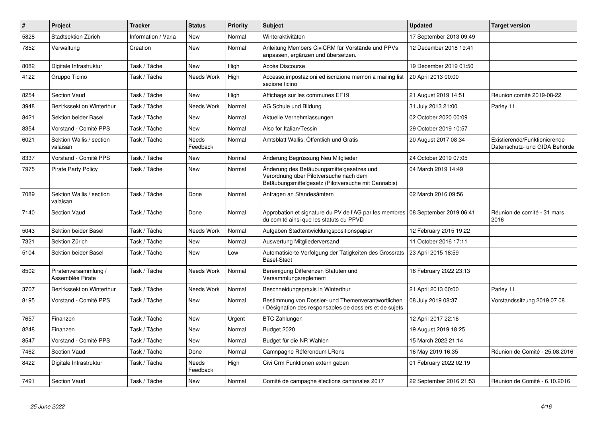| $\#$ | Project                                  | <b>Tracker</b>      | <b>Status</b>     | <b>Priority</b> | <b>Subject</b>                                                                                                                             | <b>Updated</b>          | <b>Target version</b>                                         |
|------|------------------------------------------|---------------------|-------------------|-----------------|--------------------------------------------------------------------------------------------------------------------------------------------|-------------------------|---------------------------------------------------------------|
| 5828 | Stadtsektion Zürich                      | Information / Varia | New               | Normal          | Winteraktivitäten                                                                                                                          | 17 September 2013 09:49 |                                                               |
| 7852 | Verwaltung                               | Creation            | <b>New</b>        | Normal          | Anleitung Members CiviCRM für Vorstände und PPVs<br>anpassen, ergänzen und übersetzen.                                                     | 12 December 2018 19:41  |                                                               |
| 8082 | Digitale Infrastruktur                   | Task / Tâche        | New               | High            | Accès Discourse                                                                                                                            | 19 December 2019 01:50  |                                                               |
| 4122 | Gruppo Ticino                            | Task / Tâche        | Needs Work        | High            | Accesso, impostazioni ed iscrizione membri a mailing list<br>sezione ticino                                                                | 20 April 2013 00:00     |                                                               |
| 8254 | <b>Section Vaud</b>                      | Task / Tâche        | <b>New</b>        | High            | Affichage sur les communes EF19                                                                                                            | 21 August 2019 14:51    | Réunion comité 2019-08-22                                     |
| 3948 | Bezirkssektion Winterthur                | Task / Tâche        | Needs Work        | Normal          | AG Schule und Bildung                                                                                                                      | 31 July 2013 21:00      | Parley 11                                                     |
| 8421 | Sektion beider Basel                     | Task / Tâche        | New               | Normal          | Aktuelle Vernehmlassungen                                                                                                                  | 02 October 2020 00:09   |                                                               |
| 8354 | Vorstand - Comité PPS                    | Task / Tâche        | New               | Normal          | Also for Italian/Tessin                                                                                                                    | 29 October 2019 10:57   |                                                               |
| 6021 | Sektion Wallis / section<br>valaisan     | Task / Tâche        | Needs<br>Feedback | Normal          | Amtsblatt Wallis: Öffentlich und Gratis                                                                                                    | 20 August 2017 08:34    | Existierende/Funktionierende<br>Datenschutz- und GIDA Behörde |
| 8337 | Vorstand - Comité PPS                    | Task / Tâche        | New               | Normal          | Änderung Begrüssung Neu Mitglieder                                                                                                         | 24 October 2019 07:05   |                                                               |
| 7975 | <b>Pirate Party Policy</b>               | Task / Tâche        | <b>New</b>        | Normal          | Änderung des Betäubungsmittelgesetzes und<br>Verordnung über Pilotversuche nach dem<br>Betäubungsmittelgesetz (Pilotversuche mit Cannabis) | 04 March 2019 14:49     |                                                               |
| 7089 | Sektion Wallis / section<br>valaisan     | Task / Tâche        | Done              | Normal          | Anfragen an Standesämtern                                                                                                                  | 02 March 2016 09:56     |                                                               |
| 7140 | <b>Section Vaud</b>                      | Task / Tâche        | Done              | Normal          | Approbation et signature du PV de l'AG par les membres   08 September 2019 06:41<br>du comité ainsi que les statuts du PPVD                |                         | Réunion de comité - 31 mars<br>2016                           |
| 5043 | Sektion beider Basel                     | Task / Tâche        | Needs Work        | Normal          | Aufgaben Stadtentwicklungspositionspapier                                                                                                  | 12 February 2015 19:22  |                                                               |
| 7321 | Sektion Zürich                           | Task / Tâche        | New               | Normal          | Auswertung Mitgliederversand                                                                                                               | 11 October 2016 17:11   |                                                               |
| 5104 | Sektion beider Basel                     | Task / Tâche        | <b>New</b>        | Low             | Automatisierte Verfolgung der Tätigkeiten des Grossrats<br><b>Basel-Stadt</b>                                                              | 23 April 2015 18:59     |                                                               |
| 8502 | Piratenversammlung /<br>Assemblée Pirate | Task / Tâche        | Needs Work        | Normal          | Bereinigung Differenzen Statuten und<br>Versammlungsreglement                                                                              | 16 February 2022 23:13  |                                                               |
| 3707 | Bezirkssektion Winterthur                | Task / Tâche        | <b>Needs Work</b> | Normal          | Beschneidungspraxis in Winterthur                                                                                                          | 21 April 2013 00:00     | Parley 11                                                     |
| 8195 | Vorstand - Comité PPS                    | Task / Tâche        | New               | Normal          | Bestimmung von Dossier- und Themenverantwortlichen<br>Désignation des responsables de dossiers et de sujets                                | 08 July 2019 08:37      | Vorstandssitzung 2019 07 08                                   |
| 7657 | Finanzen                                 | Task / Tâche        | New               | Urgent          | <b>BTC Zahlungen</b>                                                                                                                       | 12 April 2017 22:16     |                                                               |
| 8248 | Finanzen                                 | Task / Tâche        | <b>New</b>        | Normal          | Budget 2020                                                                                                                                | 19 August 2019 18:25    |                                                               |
| 8547 | Vorstand - Comité PPS                    | Task / Tâche        | <b>New</b>        | Normal          | Budget für die NR Wahlen                                                                                                                   | 15 March 2022 21:14     |                                                               |
| 7462 | <b>Section Vaud</b>                      | Task / Tâche        | Done              | Normal          | Camnpagne Référendum LRens                                                                                                                 | 16 May 2019 16:35       | Réunion de Comité - 25.08.2016                                |
| 8422 | Digitale Infrastruktur                   | Task / Tâche        | Needs<br>Feedback | High            | Civi Crm Funktionen extern geben                                                                                                           | 01 February 2022 02:19  |                                                               |
| 7491 | Section Vaud                             | Task / Tâche        | New               | Normal          | Comité de campagne élections cantonales 2017                                                                                               | 22 September 2016 21:53 | Réunion de Comité - 6.10.2016                                 |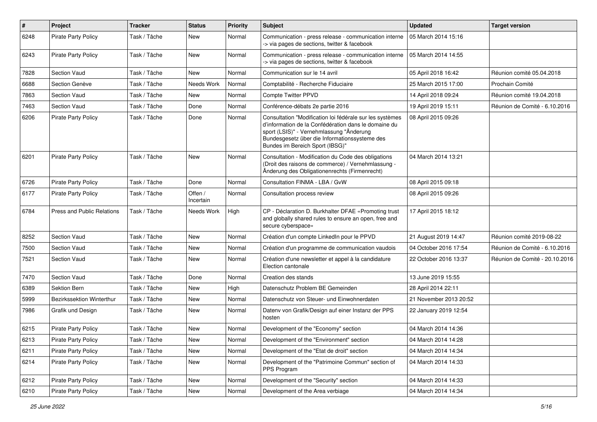| #    | Project                    | <b>Tracker</b> | <b>Status</b>        | <b>Priority</b> | Subject                                                                                                                                                                                                                                          | <b>Updated</b>         | <b>Target version</b>          |
|------|----------------------------|----------------|----------------------|-----------------|--------------------------------------------------------------------------------------------------------------------------------------------------------------------------------------------------------------------------------------------------|------------------------|--------------------------------|
| 6248 | Pirate Party Policy        | Task / Tâche   | New                  | Normal          | Communication - press release - communication interne<br>-> via pages de sections, twitter & facebook                                                                                                                                            | 05 March 2014 15:16    |                                |
| 6243 | Pirate Party Policy        | Task / Tâche   | <b>New</b>           | Normal          | Communication - press release - communication interne<br>-> via pages de sections, twitter & facebook                                                                                                                                            | 05 March 2014 14:55    |                                |
| 7828 | <b>Section Vaud</b>        | Task / Tâche   | <b>New</b>           | Normal          | Communication sur le 14 avril                                                                                                                                                                                                                    | 05 April 2018 16:42    | Réunion comité 05.04.2018      |
| 6688 | Section Genève             | Task / Tâche   | Needs Work           | Normal          | Comptabilité - Recherche Fiduciaire                                                                                                                                                                                                              | 25 March 2015 17:00    | Prochain Comité                |
| 7863 | Section Vaud               | Task / Tâche   | <b>New</b>           | Normal          | Compte Twitter PPVD                                                                                                                                                                                                                              | 14 April 2018 09:24    | Réunion comité 19.04.2018      |
| 7463 | Section Vaud               | Task / Tâche   | Done                 | Normal          | Conférence-débats 2e partie 2016                                                                                                                                                                                                                 | 19 April 2019 15:11    | Réunion de Comité - 6.10.2016  |
| 6206 | <b>Pirate Party Policy</b> | Task / Tâche   | Done                 | Normal          | Consultation "Modification loi fédérale sur les systèmes<br>d'information de la Confédération dans le domaine du<br>sport (LSIS)" - Vernehmlassung "Änderung<br>Bundesgesetz über die Informationssysteme des<br>Bundes im Bereich Sport (IBSG)" | 08 April 2015 09:26    |                                |
| 6201 | <b>Pirate Party Policy</b> | Task / Tâche   | New                  | Normal          | Consultation - Modification du Code des obligations<br>(Droit des raisons de commerce) / Vernehmlassung -<br>Änderung des Obligationenrechts (Firmenrecht)                                                                                       | 04 March 2014 13:21    |                                |
| 6726 | <b>Pirate Party Policy</b> | Task / Tâche   | Done                 | Normal          | Consultation FINMA - LBA / GvW                                                                                                                                                                                                                   | 08 April 2015 09:18    |                                |
| 6177 | <b>Pirate Party Policy</b> | Task / Tâche   | Offen /<br>Incertain | Normal          | Consultation process review                                                                                                                                                                                                                      | 08 April 2015 09:26    |                                |
| 6784 | Press and Public Relations | Task / Tâche   | Needs Work           | High            | CP - Déclaration D. Burkhalter DFAE «Promoting trust<br>and globally shared rules to ensure an open, free and<br>secure cyberspace»                                                                                                              | 17 April 2015 18:12    |                                |
| 8252 | Section Vaud               | Task / Tâche   | <b>New</b>           | Normal          | Création d'un compte LinkedIn pour le PPVD                                                                                                                                                                                                       | 21 August 2019 14:47   | Réunion comité 2019-08-22      |
| 7500 | Section Vaud               | Task / Tâche   | <b>New</b>           | Normal          | Création d'un programme de communication vaudois                                                                                                                                                                                                 | 04 October 2016 17:54  | Réunion de Comité - 6.10.2016  |
| 7521 | Section Vaud               | Task / Tâche   | New                  | Normal          | Création d'une newsletter et appel à la candidature<br>Election cantonale                                                                                                                                                                        | 22 October 2016 13:37  | Réunion de Comité - 20.10.2016 |
| 7470 | <b>Section Vaud</b>        | Task / Tâche   | Done                 | Normal          | Creation des stands                                                                                                                                                                                                                              | 13 June 2019 15:55     |                                |
| 6389 | Sektion Bern               | Task / Tâche   | New                  | High            | Datenschutz Problem BE Gemeinden                                                                                                                                                                                                                 | 28 April 2014 22:11    |                                |
| 5999 | Bezirkssektion Winterthur  | Task / Tâche   | <b>New</b>           | Normal          | Datenschutz von Steuer- und Einwohnerdaten                                                                                                                                                                                                       | 21 November 2013 20:52 |                                |
| 7986 | Grafik und Design          | Task / Tâche   | New                  | Normal          | Datenv von Grafik/Design auf einer Instanz der PPS<br>hosten                                                                                                                                                                                     | 22 January 2019 12:54  |                                |
| 6215 | <b>Pirate Party Policy</b> | Task / Tâche   | <b>New</b>           | Normal          | Development of the "Economy" section                                                                                                                                                                                                             | 04 March 2014 14:36    |                                |
| 6213 | <b>Pirate Party Policy</b> | Task / Tâche   | New                  | Normal          | Development of the "Environment" section                                                                                                                                                                                                         | 04 March 2014 14:28    |                                |
| 6211 | <b>Pirate Party Policy</b> | Task / Tâche   | New                  | Normal          | Development of the "Etat de droit" section                                                                                                                                                                                                       | 04 March 2014 14:34    |                                |
| 6214 | Pirate Party Policy        | Task / Tâche   | New                  | Normal          | Development of the "Patrimoine Commun" section of<br>PPS Program                                                                                                                                                                                 | 04 March 2014 14:33    |                                |
| 6212 | Pirate Party Policy        | Task / Tâche   | New                  | Normal          | Development of the "Security" section                                                                                                                                                                                                            | 04 March 2014 14:33    |                                |
| 6210 | Pirate Party Policy        | Task / Tâche   | New                  | Normal          | Development of the Area verbiage                                                                                                                                                                                                                 | 04 March 2014 14:34    |                                |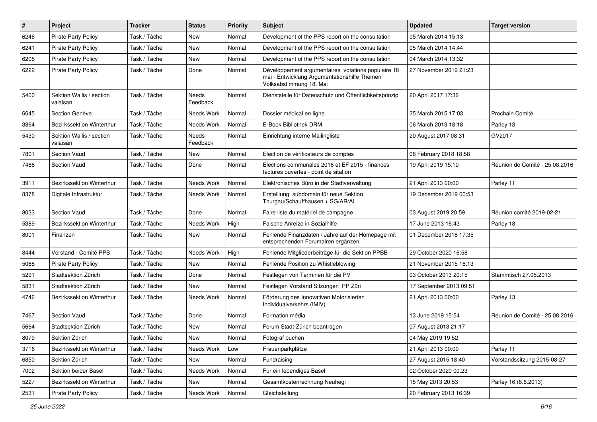| $\pmb{\#}$ | Project                              | <b>Tracker</b> | <b>Status</b>     | <b>Priority</b> | <b>Subject</b>                                                                                                                | <b>Updated</b>          | <b>Target version</b>          |
|------------|--------------------------------------|----------------|-------------------|-----------------|-------------------------------------------------------------------------------------------------------------------------------|-------------------------|--------------------------------|
| 6246       | Pirate Party Policy                  | Task / Tâche   | New               | Normal          | Development of the PPS report on the consultation                                                                             | 05 March 2014 15:13     |                                |
| 6241       | <b>Pirate Party Policy</b>           | Task / Tâche   | <b>New</b>        | Normal          | Development of the PPS report on the consultation                                                                             | 05 March 2014 14:44     |                                |
| 6205       | <b>Pirate Party Policy</b>           | Task / Tâche   | New               | Normal          | Development of the PPS report on the consultation                                                                             | 04 March 2014 13:32     |                                |
| 6222       | <b>Pirate Party Policy</b>           | Task / Tâche   | Done              | Normal          | Développement argumentaires votations populaire 18<br>mai - Entwicklung Argumentationshilfe Themen<br>Volksabstimmung 18. Mai | 27 November 2019 21:23  |                                |
| 5400       | Sektion Wallis / section<br>valaisan | Task / Tâche   | Needs<br>Feedback | Normal          | Dienststelle für Datenschutz und Öffentlichkeitsprinzip                                                                       | 20 April 2017 17:36     |                                |
| 6645       | Section Genève                       | Task / Tâche   | Needs Work        | Normal          | Dossier médical en ligne                                                                                                      | 25 March 2015 17:03     | Prochain Comité                |
| 3864       | <b>Bezirkssektion Winterthur</b>     | Task / Tâche   | Needs Work        | Normal          | E-Book Bibliothek DRM                                                                                                         | 06 March 2013 18:18     | Parley 13                      |
| 5430       | Sektion Wallis / section<br>valaisan | Task / Tâche   | Needs<br>Feedback | Normal          | Einrichtung interne Mailingliste                                                                                              | 20 August 2017 08:31    | GV2017                         |
| 7801       | Section Vaud                         | Task / Tâche   | <b>New</b>        | Normal          | Election de vérificateurs de comptes                                                                                          | 08 February 2018 18:58  |                                |
| 7468       | <b>Section Vaud</b>                  | Task / Tâche   | Done              | Normal          | Elections communales 2016 et EF 2015 - finances<br>factures ouvertes - point de sitation                                      | 19 April 2019 15:10     | Réunion de Comité - 25.08.2016 |
| 3911       | Bezirkssektion Winterthur            | Task / Tâche   | Needs Work        | Normal          | Elektronisches Büro in der Stadtverwaltung                                                                                    | 21 April 2013 00:00     | Parley 11                      |
| 8378       | Digitale Infrastruktur               | Task / Tâche   | Needs Work        | Normal          | Erstelllung subdomain für neue Sektion<br>Thurgau/Schauffhausen + SG/AR/Ai                                                    | 19 December 2019 00:53  |                                |
| 8033       | Section Vaud                         | Task / Tâche   | Done              | Normal          | Faire liste du matériel de campagne                                                                                           | 03 August 2019 20:59    | Réunion comité 2019-02-21      |
| 5389       | Bezirkssektion Winterthur            | Task / Tâche   | Needs Work        | High            | Falsche Anreize in Sozialhilfe                                                                                                | 17 June 2013 16:43      | Parley 18                      |
| 8001       | Finanzen                             | Task / Tâche   | <b>New</b>        | Normal          | Fehlende Finanzdaten / Jahre auf der Homepage mit<br>entsprechenden Forumalren ergänzen                                       | 01 December 2018 17:35  |                                |
| 8444       | Vorstand - Comité PPS                | Task / Tâche   | Needs Work        | High            | Fehlende Mitgliederbeiträge für die Sektion PPBB                                                                              | 29 October 2020 16:58   |                                |
| 5068       | <b>Pirate Party Policy</b>           | Task / Tâche   | New               | Normal          | Fehlende Position zu Whistleblowing                                                                                           | 21 November 2015 16:13  |                                |
| 5291       | Stadtsektion Zürich                  | Task / Tâche   | Done              | Normal          | Festlegen von Terminen für die PV                                                                                             | 03 October 2013 20:15   | Stammtisch 27.05.2013          |
| 5831       | Stadtsektion Zürich                  | Task / Tâche   | <b>New</b>        | Normal          | Festlegen Vorstand Sitzungen PP Züri                                                                                          | 17 September 2013 09:51 |                                |
| 4746       | <b>Bezirkssektion Winterthur</b>     | Task / Tâche   | Needs Work        | Normal          | Förderung des Innovativen Motorisierten<br>Individualverkehrs (IMIV)                                                          | 21 April 2013 00:00     | Parley 13                      |
| 7467       | Section Vaud                         | Task / Tâche   | Done              | Normal          | Formation média                                                                                                               | 13 June 2019 15:54      | Réunion de Comité - 25.08.2016 |
| 5664       | Stadtsektion Zürich                  | Task / Tâche   | New               | Normal          | Forum Stadt-Zürich beantragen                                                                                                 | 07 August 2013 21:17    |                                |
| 8079       | Sektion Zürich                       | Task / Tâche   | New               | Normal          | Fotograf buchen                                                                                                               | 04 May 2019 19:52       |                                |
| 3716       | Bezirkssektion Winterthur            | Task / Tâche   | Needs Work        | Low             | Frauenparkplätze                                                                                                              | 21 April 2013 00:00     | Parley 11                      |
| 6850       | Sektion Zürich                       | Task / Tâche   | New               | Normal          | Fundraising                                                                                                                   | 27 August 2015 18:40    | Vorstandssitzung 2015-08-27    |
| 7002       | Sektion beider Basel                 | Task / Tâche   | Needs Work        | Normal          | Für ein lebendiges Basel                                                                                                      | 02 October 2020 00:23   |                                |
| 5227       | Bezirkssektion Winterthur            | Task / Tâche   | New               | Normal          | Gesamtkostenrechnung Neuhegi                                                                                                  | 15 May 2013 20:53       | Parley 16 (6.6.2013)           |
| 2531       | <b>Pirate Party Policy</b>           | Task / Tâche   | Needs Work        | Normal          | Gleichstellung                                                                                                                | 20 February 2013 16:39  |                                |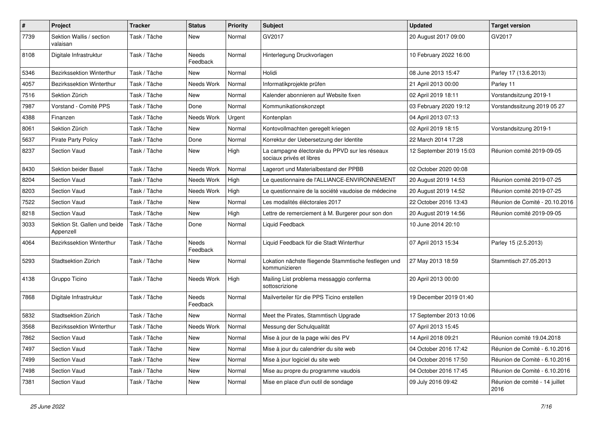| $\pmb{\#}$ | Project                                   | <b>Tracker</b> | <b>Status</b>     | <b>Priority</b> | <b>Subject</b>                                                             | <b>Updated</b>          | <b>Target version</b>                  |
|------------|-------------------------------------------|----------------|-------------------|-----------------|----------------------------------------------------------------------------|-------------------------|----------------------------------------|
| 7739       | Sektion Wallis / section<br>valaisan      | Task / Tâche   | New               | Normal          | GV2017                                                                     | 20 August 2017 09:00    | GV2017                                 |
| 8108       | Digitale Infrastruktur                    | Task / Tâche   | Needs<br>Feedback | Normal          | Hinterlegung Druckvorlagen                                                 | 10 February 2022 16:00  |                                        |
| 5346       | Bezirkssektion Winterthur                 | Task / Tâche   | <b>New</b>        | Normal          | <b>Holidi</b>                                                              | 08 June 2013 15:47      | Parley 17 (13.6.2013)                  |
| 4057       | Bezirkssektion Winterthur                 | Task / Tâche   | Needs Work        | Normal          | Informatikprojekte prüfen                                                  | 21 April 2013 00:00     | Parley 11                              |
| 7516       | Sektion Zürich                            | Task / Tâche   | New               | Normal          | Kalender abonnieren auf Website fixen                                      | 02 April 2019 18:11     | Vorstandsitzung 2019-1                 |
| 7987       | Vorstand - Comité PPS                     | Task / Tâche   | Done              | Normal          | Kommunikationskonzept                                                      | 03 February 2020 19:12  | Vorstandssitzung 2019 05 27            |
| 4388       | Finanzen                                  | Task / Tâche   | Needs Work        | Urgent          | Kontenplan                                                                 | 04 April 2013 07:13     |                                        |
| 8061       | Sektion Zürich                            | Task / Tâche   | <b>New</b>        | Normal          | Kontovollmachten geregelt kriegen                                          | 02 April 2019 18:15     | Vorstandsitzung 2019-1                 |
| 5637       | <b>Pirate Party Policy</b>                | Task / Tâche   | Done              | Normal          | Korrektur der Uebersetzung der Identite                                    | 22 March 2014 17:28     |                                        |
| 8237       | <b>Section Vaud</b>                       | Task / Tâche   | <b>New</b>        | High            | La campagne électorale du PPVD sur les réseaux<br>sociaux privés et libres | 12 September 2019 15:03 | Réunion comité 2019-09-05              |
| 8430       | Sektion beider Basel                      | Task / Tâche   | Needs Work        | Normal          | Lagerort und Materialbestand der PPBB                                      | 02 October 2020 00:08   |                                        |
| 8204       | <b>Section Vaud</b>                       | Task / Tâche   | Needs Work        | High            | Le questionnaire de l'ALLIANCE-ENVIRONNEMENT                               | 20 August 2019 14:53    | Réunion comité 2019-07-25              |
| 8203       | Section Vaud                              | Task / Tâche   | Needs Work        | High            | Le questionnaire de la société vaudoise de médecine                        | 20 August 2019 14:52    | Réunion comité 2019-07-25              |
| 7522       | <b>Section Vaud</b>                       | Task / Tâche   | New               | Normal          | Les modalités éléctorales 2017                                             | 22 October 2016 13:43   | Réunion de Comité - 20.10.2016         |
| 8218       | <b>Section Vaud</b>                       | Task / Tâche   | New               | High            | Lettre de remerciement à M. Burgerer pour son don                          | 20 August 2019 14:56    | Réunion comité 2019-09-05              |
| 3033       | Sektion St. Gallen und beide<br>Appenzell | Task / Tâche   | Done              | Normal          | Liquid Feedback                                                            | 10 June 2014 20:10      |                                        |
| 4064       | Bezirkssektion Winterthur                 | Task / Tâche   | Needs<br>Feedback | Normal          | Liquid Feedback für die Stadt Winterthur                                   | 07 April 2013 15:34     | Parley 15 (2.5.2013)                   |
| 5293       | Stadtsektion Zürich                       | Task / Tâche   | New               | Normal          | Lokation nächste fliegende Stammtische festlegen und<br>kommunizieren      | 27 May 2013 18:59       | Stammtisch 27.05.2013                  |
| 4138       | Gruppo Ticino                             | Task / Tâche   | Needs Work        | High            | Mailing List problema messaggio conferma<br>sottoscrizione                 | 20 April 2013 00:00     |                                        |
| 7868       | Digitale Infrastruktur                    | Task / Tâche   | Needs<br>Feedback | Normal          | Mailverteiler für die PPS Ticino erstellen                                 | 19 December 2019 01:40  |                                        |
| 5832       | Stadtsektion Zürich                       | Task / Tâche   | New               | Normal          | Meet the Pirates, Stammtisch Upgrade                                       | 17 September 2013 10:06 |                                        |
| 3568       | Bezirkssektion Winterthur                 | Task / Tâche   | Needs Work        | Normal          | Messung der Schulqualität                                                  | 07 April 2013 15:45     |                                        |
| 7862       | Section Vaud                              | Task / Tâche   | New               | Normal          | Mise à jour de la page wiki des PV                                         | 14 April 2018 09:21     | Réunion comité 19.04.2018              |
| 7497       | Section Vaud                              | Task / Tâche   | New               | Normal          | Mise à jour du calendrier du site web                                      | 04 October 2016 17:42   | Réunion de Comité - 6.10.2016          |
| 7499       | Section Vaud                              | Task / Tâche   | New               | Normal          | Mise à jour logiciel du site web                                           | 04 October 2016 17:50   | Réunion de Comité - 6.10.2016          |
| 7498       | Section Vaud                              | Task / Tâche   | New               | Normal          | Mise au propre du programme vaudois                                        | 04 October 2016 17:45   | Réunion de Comité - 6.10.2016          |
| 7381       | Section Vaud                              | Task / Tâche   | New               | Normal          | Mise en place d'un outil de sondage                                        | 09 July 2016 09:42      | Réunion de comité - 14 juillet<br>2016 |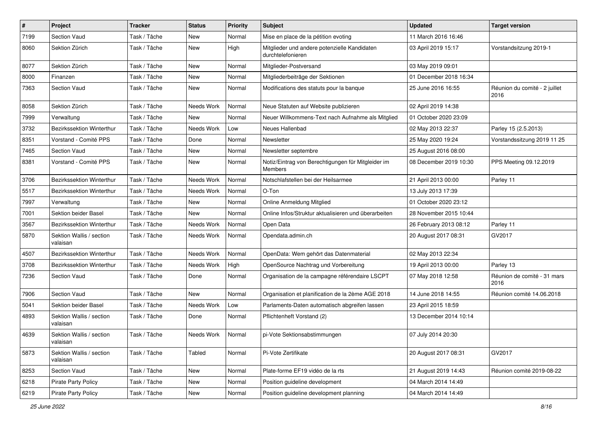| $\#$ | Project                              | <b>Tracker</b> | <b>Status</b> | <b>Priority</b> | <b>Subject</b>                                                    | <b>Updated</b>         | <b>Target version</b>                 |
|------|--------------------------------------|----------------|---------------|-----------------|-------------------------------------------------------------------|------------------------|---------------------------------------|
| 7199 | Section Vaud                         | Task / Tâche   | New           | Normal          | Mise en place de la pétition evoting                              | 11 March 2016 16:46    |                                       |
| 8060 | Sektion Zürich                       | Task / Tâche   | New           | High            | Mitglieder und andere potenzielle Kandidaten<br>durchtelefonieren | 03 April 2019 15:17    | Vorstandsitzung 2019-1                |
| 8077 | Sektion Zürich                       | Task / Tâche   | <b>New</b>    | Normal          | Mitglieder-Postversand                                            | 03 May 2019 09:01      |                                       |
| 8000 | Finanzen                             | Task / Tâche   | New           | Normal          | Mitgliederbeiträge der Sektionen                                  | 01 December 2018 16:34 |                                       |
| 7363 | <b>Section Vaud</b>                  | Task / Tâche   | New           | Normal          | Modifications des statuts pour la banque                          | 25 June 2016 16:55     | Réunion du comité - 2 juillet<br>2016 |
| 8058 | Sektion Zürich                       | Task / Tâche   | Needs Work    | Normal          | Neue Statuten auf Website publizieren                             | 02 April 2019 14:38    |                                       |
| 7999 | Verwaltung                           | Task / Tâche   | New           | Normal          | Neuer Willkommens-Text nach Aufnahme als Mitglied                 | 01 October 2020 23:09  |                                       |
| 3732 | Bezirkssektion Winterthur            | Task / Tâche   | Needs Work    | Low             | Neues Hallenbad                                                   | 02 May 2013 22:37      | Parley 15 (2.5.2013)                  |
| 8351 | Vorstand - Comité PPS                | Task / Tâche   | Done          | Normal          | Newsletter                                                        | 25 May 2020 19:24      | Vorstandssitzung 2019 11 25           |
| 7465 | <b>Section Vaud</b>                  | Task / Tâche   | <b>New</b>    | Normal          | Newsletter septembre                                              | 25 August 2016 08:00   |                                       |
| 8381 | Vorstand - Comité PPS                | Task / Tâche   | New           | Normal          | Notiz/Eintrag von Berechtigungen für Mitgleider im<br>Members     | 08 December 2019 10:30 | PPS Meeting 09.12.2019                |
| 3706 | <b>Bezirkssektion Winterthur</b>     | Task / Tâche   | Needs Work    | Normal          | Notschlafstellen bei der Heilsarmee                               | 21 April 2013 00:00    | Parley 11                             |
| 5517 | Bezirkssektion Winterthur            | Task / Tâche   | Needs Work    | Normal          | O-Ton                                                             | 13 July 2013 17:39     |                                       |
| 7997 | Verwaltung                           | Task / Tâche   | New           | Normal          | Online Anmeldung Mitglied                                         | 01 October 2020 23:12  |                                       |
| 7001 | Sektion beider Basel                 | Task / Tâche   | New           | Normal          | Online Infos/Struktur aktualisieren und überarbeiten              | 28 November 2015 10:44 |                                       |
| 3567 | <b>Bezirkssektion Winterthur</b>     | Task / Tâche   | Needs Work    | Normal          | Open Data                                                         | 26 February 2013 08:12 | Parley 11                             |
| 5870 | Sektion Wallis / section<br>valaisan | Task / Tâche   | Needs Work    | Normal          | Opendata.admin.ch                                                 | 20 August 2017 08:31   | GV2017                                |
| 4507 | <b>Bezirkssektion Winterthur</b>     | Task / Tâche   | Needs Work    | Normal          | OpenData: Wem gehört das Datenmaterial                            | 02 May 2013 22:34      |                                       |
| 3708 | Bezirkssektion Winterthur            | Task / Tâche   | Needs Work    | High            | OpenSource Nachtrag und Vorbereitung                              | 19 April 2013 00:00    | Parley 13                             |
| 7236 | <b>Section Vaud</b>                  | Task / Tâche   | Done          | Normal          | Organisation de la campagne référendaire LSCPT                    | 07 May 2018 12:58      | Réunion de comité - 31 mars<br>2016   |
| 7906 | Section Vaud                         | Task / Tâche   | <b>New</b>    | Normal          | Organisation et planification de la 2ème AGE 2018                 | 14 June 2018 14:55     | Réunion comité 14.06.2018             |
| 5041 | Sektion beider Basel                 | Task / Tâche   | Needs Work    | Low             | Parlaments-Daten automatisch abgreifen lassen                     | 23 April 2015 18:59    |                                       |
| 4893 | Sektion Wallis / section<br>valaisan | Task / Tâche   | Done          | Normal          | Pflichtenheft Vorstand (2)                                        | 13 December 2014 10:14 |                                       |
| 4639 | Sektion Wallis / section<br>valaisan | Task / Tâche   | Needs Work    | Normal          | pi-Vote Sektionsabstimmungen                                      | 07 July 2014 20:30     |                                       |
| 5873 | Sektion Wallis / section<br>valaisan | Task / Tâche   | Tabled        | Normal          | Pi-Vote Zertifikate                                               | 20 August 2017 08:31   | GV2017                                |
| 8253 | Section Vaud                         | Task / Tâche   | New           | Normal          | Plate-forme EF19 vidéo de la rts                                  | 21 August 2019 14:43   | Réunion comité 2019-08-22             |
| 6218 | <b>Pirate Party Policy</b>           | Task / Tâche   | New           | Normal          | Position guideline development                                    | 04 March 2014 14:49    |                                       |
| 6219 | <b>Pirate Party Policy</b>           | Task / Tâche   | New           | Normal          | Position guideline development planning                           | 04 March 2014 14:49    |                                       |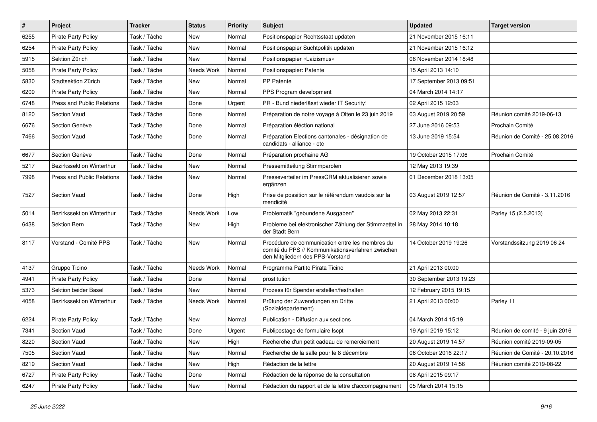| $\sharp$ | Project                           | <b>Tracker</b> | <b>Status</b> | <b>Priority</b> | <b>Subject</b>                                                                                                                           | <b>Updated</b>          | <b>Target version</b>           |
|----------|-----------------------------------|----------------|---------------|-----------------|------------------------------------------------------------------------------------------------------------------------------------------|-------------------------|---------------------------------|
| 6255     | <b>Pirate Party Policy</b>        | Task / Tâche   | New           | Normal          | Positionspapier Rechtsstaat updaten                                                                                                      | 21 November 2015 16:11  |                                 |
| 6254     | <b>Pirate Party Policy</b>        | Task / Tâche   | New           | Normal          | Positionspapier Suchtpolitik updaten                                                                                                     | 21 November 2015 16:12  |                                 |
| 5915     | Sektion Zürich                    | Task / Tâche   | New           | Normal          | Positionspapier «Laizismus»                                                                                                              | 06 November 2014 18:48  |                                 |
| 5058     | <b>Pirate Party Policy</b>        | Task / Tâche   | Needs Work    | Normal          | Positionspapier: Patente                                                                                                                 | 15 April 2013 14:10     |                                 |
| 5830     | Stadtsektion Zürich               | Task / Tâche   | <b>New</b>    | Normal          | PP Patente                                                                                                                               | 17 September 2013 09:51 |                                 |
| 6209     | <b>Pirate Party Policy</b>        | Task / Tâche   | New           | Normal          | PPS Program development                                                                                                                  | 04 March 2014 14:17     |                                 |
| 6748     | <b>Press and Public Relations</b> | Task / Tâche   | Done          | Urgent          | PR - Bund niederlässt wieder IT Security!                                                                                                | 02 April 2015 12:03     |                                 |
| 8120     | Section Vaud                      | Task / Tâche   | Done          | Normal          | Préparation de notre voyage à Olten le 23 juin 2019                                                                                      | 03 August 2019 20:59    | Réunion comité 2019-06-13       |
| 6676     | Section Genève                    | Task / Tâche   | Done          | Normal          | Préparation éléction national                                                                                                            | 27 June 2016 09:53      | Prochain Comité                 |
| 7466     | Section Vaud                      | Task / Tâche   | Done          | Normal          | Préparation Elections cantonales - désignation de<br>candidats - alliance - etc                                                          | 13 June 2019 15:54      | Réunion de Comité - 25.08.2016  |
| 6677     | Section Genève                    | Task / Tâche   | Done          | Normal          | Préparation prochaine AG                                                                                                                 | 19 October 2015 17:06   | Prochain Comité                 |
| 5217     | Bezirkssektion Winterthur         | Task / Tâche   | <b>New</b>    | Normal          | Pressemitteilung Stimmparolen                                                                                                            | 12 May 2013 19:39       |                                 |
| 7998     | Press and Public Relations        | Task / Tâche   | New           | Normal          | Presseverteiler im PressCRM aktualisieren sowie<br>ergänzen                                                                              | 01 December 2018 13:05  |                                 |
| 7527     | Section Vaud                      | Task / Tâche   | Done          | High            | Prise de possition sur le référendum vaudois sur la<br>mendicité                                                                         | 03 August 2019 12:57    | Réunion de Comité - 3.11.2016   |
| 5014     | Bezirkssektion Winterthur         | Task / Tâche   | Needs Work    | Low             | Problematik "gebundene Ausgaben"                                                                                                         | 02 May 2013 22:31       | Parley 15 (2.5.2013)            |
| 6438     | Sektion Bern                      | Task / Tâche   | New           | High            | Probleme bei elektronischer Zählung der Stimmzettel in<br>der Stadt Bern                                                                 | 28 May 2014 10:18       |                                 |
| 8117     | Vorstand - Comité PPS             | Task / Tâche   | <b>New</b>    | Normal          | Procédure de communication entre les membres du<br>comité du PPS // Kommunikationsverfahren zwischen<br>den Mitgliedern des PPS-Vorstand | 14 October 2019 19:26   | Vorstandssitzung 2019 06 24     |
| 4137     | Gruppo Ticino                     | Task / Tâche   | Needs Work    | Normal          | Programma Partito Pirata Ticino                                                                                                          | 21 April 2013 00:00     |                                 |
| 4941     | <b>Pirate Party Policy</b>        | Task / Tâche   | Done          | Normal          | prostitution                                                                                                                             | 30 September 2013 19:23 |                                 |
| 5373     | Sektion beider Basel              | Task / Tâche   | New           | Normal          | Prozess für Spender erstellen/festhalten                                                                                                 | 12 February 2015 19:15  |                                 |
| 4058     | Bezirkssektion Winterthur         | Task / Tâche   | Needs Work    | Normal          | Prüfung der Zuwendungen an Dritte<br>(Sozialdepartement)                                                                                 | 21 April 2013 00:00     | Parley 11                       |
| 6224     | <b>Pirate Party Policy</b>        | Task / Tâche   | New           | Normal          | Publication - Diffusion aux sections                                                                                                     | 04 March 2014 15:19     |                                 |
| 7341     | Section Vaud                      | Task / Tâche   | Done          | Urgent          | Publipostage de formulaire Iscpt                                                                                                         | 19 April 2019 15:12     | Réunion de comité - 9 juin 2016 |
| 8220     | Section Vaud                      | Task / Tâche   | New           | High            | Recherche d'un petit cadeau de remerciement                                                                                              | 20 August 2019 14:57    | Réunion comité 2019-09-05       |
| 7505     | Section Vaud                      | Task / Tâche   | New           | Normal          | Recherche de la salle pour le 8 décembre                                                                                                 | 06 October 2016 22:17   | Réunion de Comité - 20.10.2016  |
| 8219     | Section Vaud                      | Task / Tâche   | New           | High            | Rédaction de la lettre                                                                                                                   | 20 August 2019 14:56    | Réunion comité 2019-08-22       |
| 6727     | Pirate Party Policy               | Task / Tâche   | Done          | Normal          | Rédaction de la réponse de la consultation                                                                                               | 08 April 2015 09:17     |                                 |
| 6247     | Pirate Party Policy               | Task / Tâche   | New           | Normal          | Rédaction du rapport et de la lettre d'accompagnement                                                                                    | 05 March 2014 15:15     |                                 |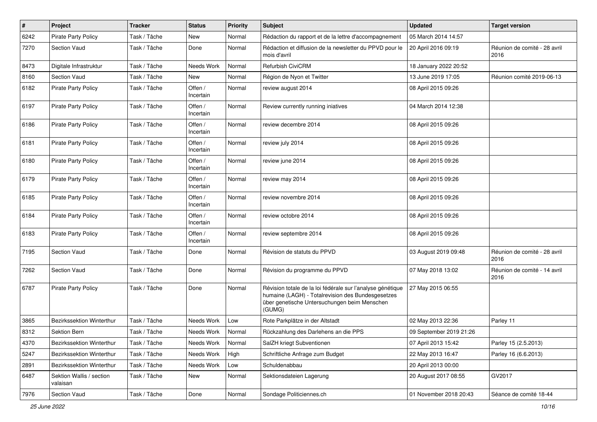| $\pmb{\#}$ | Project                              | <b>Tracker</b> | <b>Status</b>        | <b>Priority</b> | <b>Subject</b>                                                                                                                                                            | <b>Updated</b>          | <b>Target version</b>                |
|------------|--------------------------------------|----------------|----------------------|-----------------|---------------------------------------------------------------------------------------------------------------------------------------------------------------------------|-------------------------|--------------------------------------|
| 6242       | <b>Pirate Party Policy</b>           | Task / Tâche   | New                  | Normal          | Rédaction du rapport et de la lettre d'accompagnement                                                                                                                     | 05 March 2014 14:57     |                                      |
| 7270       | Section Vaud                         | Task / Tâche   | Done                 | Normal          | Rédaction et diffusion de la newsletter du PPVD pour le<br>mois d'avril                                                                                                   | 20 April 2016 09:19     | Réunion de comité - 28 avril<br>2016 |
| 8473       | Digitale Infrastruktur               | Task / Tâche   | Needs Work           | Normal          | <b>Refurbish CiviCRM</b>                                                                                                                                                  | 18 January 2022 20:52   |                                      |
| 8160       | <b>Section Vaud</b>                  | Task / Tâche   | <b>New</b>           | Normal          | Région de Nyon et Twitter                                                                                                                                                 | 13 June 2019 17:05      | Réunion comité 2019-06-13            |
| 6182       | <b>Pirate Party Policy</b>           | Task / Tâche   | Offen /<br>Incertain | Normal          | review august 2014                                                                                                                                                        | 08 April 2015 09:26     |                                      |
| 6197       | <b>Pirate Party Policy</b>           | Task / Tâche   | Offen /<br>Incertain | Normal          | Review currently running iniatives                                                                                                                                        | 04 March 2014 12:38     |                                      |
| 6186       | <b>Pirate Party Policy</b>           | Task / Tâche   | Offen /<br>Incertain | Normal          | review decembre 2014                                                                                                                                                      | 08 April 2015 09:26     |                                      |
| 6181       | <b>Pirate Party Policy</b>           | Task / Tâche   | Offen /<br>Incertain | Normal          | review july 2014                                                                                                                                                          | 08 April 2015 09:26     |                                      |
| 6180       | <b>Pirate Party Policy</b>           | Task / Tâche   | Offen /<br>Incertain | Normal          | review june 2014                                                                                                                                                          | 08 April 2015 09:26     |                                      |
| 6179       | Pirate Party Policy                  | Task / Tâche   | Offen /<br>Incertain | Normal          | review may 2014                                                                                                                                                           | 08 April 2015 09:26     |                                      |
| 6185       | <b>Pirate Party Policy</b>           | Task / Tâche   | Offen /<br>Incertain | Normal          | review novembre 2014                                                                                                                                                      | 08 April 2015 09:26     |                                      |
| 6184       | <b>Pirate Party Policy</b>           | Task / Tâche   | Offen /<br>Incertain | Normal          | review octobre 2014                                                                                                                                                       | 08 April 2015 09:26     |                                      |
| 6183       | <b>Pirate Party Policy</b>           | Task / Tâche   | Offen /<br>Incertain | Normal          | review septembre 2014                                                                                                                                                     | 08 April 2015 09:26     |                                      |
| 7195       | Section Vaud                         | Task / Tâche   | Done                 | Normal          | Révision de statuts du PPVD                                                                                                                                               | 03 August 2019 09:48    | Réunion de comité - 28 avril<br>2016 |
| 7262       | Section Vaud                         | Task / Tâche   | Done                 | Normal          | Révision du programme du PPVD                                                                                                                                             | 07 May 2018 13:02       | Réunion de comité - 14 avril<br>2016 |
| 6787       | <b>Pirate Party Policy</b>           | Task / Tâche   | Done                 | Normal          | Révision totale de la loi fédérale sur l'analyse génétique<br>humaine (LAGH) - Totalrevision des Bundesgesetzes<br>über genetische Untersuchungen beim Menschen<br>(GUMG) | 27 May 2015 06:55       |                                      |
| 3865       | Bezirkssektion Winterthur            | Task / Tâche   | Needs Work           | Low             | Rote Parkplätze in der Altstadt                                                                                                                                           | 02 May 2013 22:36       | Parley 11                            |
| 8312       | Sektion Bern                         | Task / Tâche   | Needs Work           | Normal          | Rückzahlung des Darlehens an die PPS                                                                                                                                      | 09 September 2019 21:26 |                                      |
| 4370       | Bezirkssektion Winterthur            | Task / Tâche   | Needs Work           | Normal          | SalZH kriegt Subventionen                                                                                                                                                 | 07 April 2013 15:42     | Parley 15 (2.5.2013)                 |
| 5247       | Bezirkssektion Winterthur            | Task / Tâche   | Needs Work           | High            | Schriftliche Anfrage zum Budget                                                                                                                                           | 22 May 2013 16:47       | Parley 16 (6.6.2013)                 |
| 2891       | Bezirkssektion Winterthur            | Task / Tâche   | Needs Work           | Low             | Schuldenabbau                                                                                                                                                             | 20 April 2013 00:00     |                                      |
| 6487       | Sektion Wallis / section<br>valaisan | Task / Tâche   | New                  | Normal          | Sektionsdateien Lagerung                                                                                                                                                  | 20 August 2017 08:55    | GV2017                               |
| 7976       | Section Vaud                         | Task / Tâche   | Done                 | Normal          | Sondage Politiciennes.ch                                                                                                                                                  | 01 November 2018 20:43  | Séance de comité 18-44               |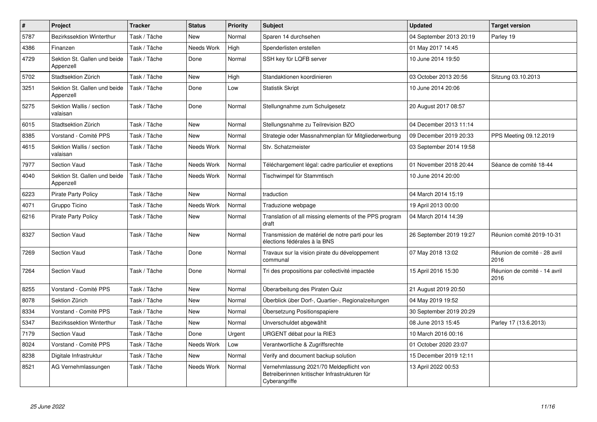| $\vert$ # | Project                                   | <b>Tracker</b> | <b>Status</b> | <b>Priority</b> | <b>Subject</b>                                                                                            | <b>Updated</b>          | <b>Target version</b>                |
|-----------|-------------------------------------------|----------------|---------------|-----------------|-----------------------------------------------------------------------------------------------------------|-------------------------|--------------------------------------|
| 5787      | Bezirkssektion Winterthur                 | Task / Tâche   | New           | Normal          | Sparen 14 durchsehen                                                                                      | 04 September 2013 20:19 | Parley 19                            |
| 4386      | Finanzen                                  | Task / Tâche   | Needs Work    | High            | Spenderlisten erstellen                                                                                   | 01 May 2017 14:45       |                                      |
| 4729      | Sektion St. Gallen und beide<br>Appenzell | Task / Tâche   | Done          | Normal          | SSH key für LQFB server                                                                                   | 10 June 2014 19:50      |                                      |
| 5702      | Stadtsektion Zürich                       | Task / Tâche   | <b>New</b>    | High            | Standaktionen koordinieren                                                                                | 03 October 2013 20:56   | Sitzung 03.10.2013                   |
| 3251      | Sektion St. Gallen und beide<br>Appenzell | Task / Tâche   | Done          | Low             | <b>Statistik Skript</b>                                                                                   | 10 June 2014 20:06      |                                      |
| 5275      | Sektion Wallis / section<br>valaisan      | Task / Tâche   | Done          | Normal          | Stellungnahme zum Schulgesetz                                                                             | 20 August 2017 08:57    |                                      |
| 6015      | Stadtsektion Zürich                       | Task / Tâche   | <b>New</b>    | Normal          | Stellungsnahme zu Teilrevision BZO                                                                        | 04 December 2013 11:14  |                                      |
| 8385      | Vorstand - Comité PPS                     | Task / Tâche   | <b>New</b>    | Normal          | Strategie oder Massnahmenplan für Mitgliederwerbung                                                       | 09 December 2019 20:33  | PPS Meeting 09.12.2019               |
| 4615      | Sektion Wallis / section<br>valaisan      | Task / Tâche   | Needs Work    | Normal          | Stv. Schatzmeister                                                                                        | 03 September 2014 19:58 |                                      |
| 7977      | Section Vaud                              | Task / Tâche   | Needs Work    | Normal          | Téléchargement légal: cadre particulier et exeptions                                                      | 01 November 2018 20:44  | Séance de comité 18-44               |
| 4040      | Sektion St. Gallen und beide<br>Appenzell | Task / Tâche   | Needs Work    | Normal          | Tischwimpel für Stammtisch                                                                                | 10 June 2014 20:00      |                                      |
| 6223      | <b>Pirate Party Policy</b>                | Task / Tâche   | <b>New</b>    | Normal          | traduction                                                                                                | 04 March 2014 15:19     |                                      |
| 4071      | Gruppo Ticino                             | Task / Tâche   | Needs Work    | Normal          | Traduzione webpage                                                                                        | 19 April 2013 00:00     |                                      |
| 6216      | <b>Pirate Party Policy</b>                | Task / Tâche   | New           | Normal          | Translation of all missing elements of the PPS program<br>draft                                           | 04 March 2014 14:39     |                                      |
| 8327      | Section Vaud                              | Task / Tâche   | <b>New</b>    | Normal          | Transmission de matériel de notre parti pour les<br>élections fédérales à la BNS                          | 26 September 2019 19:27 | Réunion comité 2019-10-31            |
| 7269      | <b>Section Vaud</b>                       | Task / Tâche   | Done          | Normal          | Travaux sur la vision pirate du développement<br>communal                                                 | 07 May 2018 13:02       | Réunion de comité - 28 avril<br>2016 |
| 7264      | <b>Section Vaud</b>                       | Task / Tâche   | Done          | Normal          | Tri des propositions par collectivité impactée                                                            | 15 April 2016 15:30     | Réunion de comité - 14 avril<br>2016 |
| 8255      | Vorstand - Comité PPS                     | Task / Tâche   | <b>New</b>    | Normal          | Überarbeitung des Piraten Quiz                                                                            | 21 August 2019 20:50    |                                      |
| 8078      | Sektion Zürich                            | Task / Tâche   | New           | Normal          | Überblick über Dorf-, Quartier-, Regionalzeitungen                                                        | 04 May 2019 19:52       |                                      |
| 8334      | Vorstand - Comité PPS                     | Task / Tâche   | <b>New</b>    | Normal          | Übersetzung Positionspapiere                                                                              | 30 September 2019 20:29 |                                      |
| 5347      | Bezirkssektion Winterthur                 | Task / Tâche   | <b>New</b>    | Normal          | Unverschuldet abgewählt                                                                                   | 08 June 2013 15:45      | Parley 17 (13.6.2013)                |
| 7179      | <b>Section Vaud</b>                       | Task / Tâche   | Done          | Urgent          | URGENT débat pour la RIE3                                                                                 | 10 March 2016 00:16     |                                      |
| 8024      | Vorstand - Comité PPS                     | Task / Tâche   | Needs Work    | Low             | Verantwortliche & Zugriffsrechte                                                                          | 01 October 2020 23:07   |                                      |
| 8238      | Digitale Infrastruktur                    | Task / Tâche   | New           | Normal          | Verify and document backup solution                                                                       | 15 December 2019 12:11  |                                      |
| 8521      | AG Vernehmlassungen                       | Task / Tâche   | Needs Work    | Normal          | Vernehmlassung 2021/70 Meldepflicht von<br>Betreiberinnen kritischer Infrastrukturen für<br>Cyberangriffe | 13 April 2022 00:53     |                                      |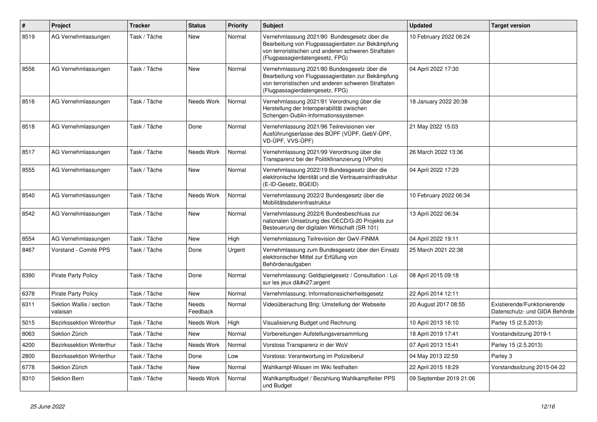| $\vert$ # | Project                              | <b>Tracker</b> | <b>Status</b>     | <b>Priority</b> | <b>Subject</b>                                                                                                                                                                              | <b>Updated</b>          | <b>Target version</b>                                         |
|-----------|--------------------------------------|----------------|-------------------|-----------------|---------------------------------------------------------------------------------------------------------------------------------------------------------------------------------------------|-------------------------|---------------------------------------------------------------|
| 8519      | AG Vernehmlassungen                  | Task / Tâche   | New               | Normal          | Vernehmlassung 2021/80 Bundesgesetz über die<br>Bearbeitung von Flugpassagierdaten zur Bekämpfung<br>von terroristischen und anderen schweren Straftaten<br>(Flugpassagierdatengesetz, FPG) | 10 February 2022 06:24  |                                                               |
| 8556      | AG Vernehmlassungen                  | Task / Tâche   | <b>New</b>        | Normal          | Vernehmlassung 2021/80 Bundesgesetz über die<br>Bearbeitung von Flugpassagierdaten zur Bekämpfung<br>von terroristischen und anderen schweren Straftaten<br>(Flugpassagierdatengesetz, FPG) | 04 April 2022 17:30     |                                                               |
| 8516      | AG Vernehmlassungen                  | Task / Tâche   | Needs Work        | Normal          | Vernehmlassung 2021/81 Verordnung über die<br>Herstellung der Interoperabilität zwischen<br>Schengen-Dublin-Informationssystemen                                                            | 18 January 2022 20:38   |                                                               |
| 8518      | AG Vernehmlassungen                  | Task / Tâche   | Done              | Normal          | Vernehmlassung 2021/96 Teilrevisionen vier<br>Ausführungserlasse des BÜPF (VÜPF, GebV-ÜPF,<br>VD-ÜPF, VVS-ÜPF)                                                                              | 21 May 2022 15:03       |                                                               |
| 8517      | AG Vernehmlassungen                  | Task / Tâche   | Needs Work        | Normal          | Vernehmlassung 2021/99 Verordnung über die<br>Transparenz bei der Politikfinanzierung (VPofin)                                                                                              | 26 March 2022 13:36     |                                                               |
| 8555      | AG Vernehmlassungen                  | Task / Tâche   | <b>New</b>        | Normal          | Vernehmlassung 2022/19 Bundesgesetz über die<br>elektronische Identität und die Vertrauensinfrastruktur<br>(E-ID-Gesetz, BGEID)                                                             | 04 April 2022 17:29     |                                                               |
| 8540      | AG Vernehmlassungen                  | Task / Tâche   | Needs Work        | Normal          | Vernehmlassung 2022/2 Bundesgesetz über die<br>Mobilitätsdateninfrastruktur                                                                                                                 | 10 February 2022 06:34  |                                                               |
| 8542      | AG Vernehmlassungen                  | Task / Tâche   | <b>New</b>        | Normal          | Vernehmlassung 2022/6 Bundesbeschluss zur<br>nationalen Umsetzung des OECD/G-20 Projekts zur<br>Besteuerung der digitalen Wirtschaft (SR 101)                                               | 13 April 2022 06:34     |                                                               |
| 8554      | AG Vernehmlassungen                  | Task / Tâche   | <b>New</b>        | High            | Vernehmlassung Teilrevision der GwV-FINMA                                                                                                                                                   | 04 April 2022 19:11     |                                                               |
| 8467      | Vorstand - Comité PPS                | Task / Tâche   | Done              | Urgent          | Vernehmlassung zum Bundesgesetz über den Einsatz<br>elektronischer Mittel zur Erfüllung von<br>Behördenaufgaben                                                                             | 25 March 2021 22:38     |                                                               |
| 6390      | <b>Pirate Party Policy</b>           | Task / Tâche   | Done              | Normal          | Vernehmlassung: Geldspielgesetz / Consultation : Loi<br>sur les jeux d'argent                                                                                                               | 08 April 2015 09:18     |                                                               |
| 6378      | <b>Pirate Party Policy</b>           | Task / Tâche   | New               | Normal          | Vernehmlassung: Informationssicherheitsgesetz                                                                                                                                               | 22 April 2014 12:11     |                                                               |
| 6311      | Sektion Wallis / section<br>valaisan | Task / Tâche   | Needs<br>Feedback | Normal          | Videoüberachung Brig: Umstellung der Webseite                                                                                                                                               | 20 August 2017 08:55    | Existierende/Funktionierende<br>Datenschutz- und GIDA Behörde |
| 5015      | Bezirkssektion Winterthur            | Task / Tâche   | Needs Work        | High            | Visualisierung Budget und Rechnung                                                                                                                                                          | 10 April 2013 16:10     | Parley 15 (2.5.2013)                                          |
| 8063      | Sektion Zürich                       | Task / Tâche   | <b>New</b>        | Normal          | Vorbereitungen Aufstellungsversammlung                                                                                                                                                      | 18 April 2019 17:41     | Vorstandsitzung 2019-1                                        |
| 4200      | Bezirkssektion Winterthur            | Task / Tâche   | Needs Work        | Normal          | Vorstoss Transparenz in der WoV                                                                                                                                                             | 07 April 2013 15:41     | Parley 15 (2.5.2013)                                          |
| 2800      | Bezirkssektion Winterthur            | Task / Tâche   | Done              | Low             | Vorstoss: Verantwortung im Polizeiberuf                                                                                                                                                     | 04 May 2013 22:59       | Parley 3                                                      |
| 6778      | Sektion Zürich                       | Task / Tâche   | <b>New</b>        | Normal          | Wahlkampf-Wissen im Wiki festhalten                                                                                                                                                         | 22 April 2015 18:29     | Vorstandssitzung 2015-04-22                                   |
| 8310      | Sektion Bern                         | Task / Tâche   | Needs Work        | Normal          | Wahlkampfbudget / Bezahlung Wahlkampfleiter PPS<br>und Budget                                                                                                                               | 09 September 2019 21:06 |                                                               |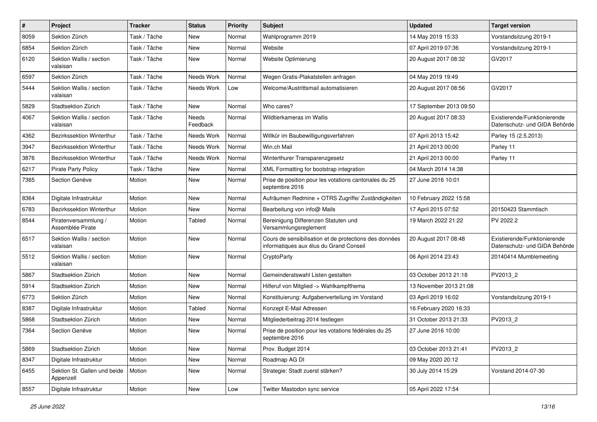| $\sharp$ | Project                                   | <b>Tracker</b> | <b>Status</b>     | <b>Priority</b> | Subject                                                                                           | <b>Updated</b>          | <b>Target version</b>                                         |
|----------|-------------------------------------------|----------------|-------------------|-----------------|---------------------------------------------------------------------------------------------------|-------------------------|---------------------------------------------------------------|
| 8059     | Sektion Zürich                            | Task / Tâche   | <b>New</b>        | Normal          | Wahlprogramm 2019                                                                                 | 14 May 2019 15:33       | Vorstandsitzung 2019-1                                        |
| 6854     | Sektion Zürich                            | Task / Tâche   | <b>New</b>        | Normal          | Website                                                                                           | 07 April 2019 07:36     | Vorstandsitzung 2019-1                                        |
| 6120     | Sektion Wallis / section<br>valaisan      | Task / Tâche   | New               | Normal          | Website Optimierung                                                                               | 20 August 2017 08:32    | GV2017                                                        |
| 6597     | Sektion Zürich                            | Task / Tâche   | Needs Work        | Normal          | Wegen Gratis-Plakatstellen anfragen                                                               | 04 May 2019 19:49       |                                                               |
| 5444     | Sektion Wallis / section<br>valaisan      | Task / Tâche   | Needs Work        | Low             | Welcome/Austrittsmail automatisieren                                                              | 20 August 2017 08:56    | GV2017                                                        |
| 5829     | Stadtsektion Zürich                       | Task / Tâche   | New               | Normal          | Who cares?                                                                                        | 17 September 2013 09:50 |                                                               |
| 4067     | Sektion Wallis / section<br>valaisan      | Task / Tâche   | Needs<br>Feedback | Normal          | Wildtierkameras im Wallis                                                                         | 20 August 2017 08:33    | Existierende/Funktionierende<br>Datenschutz- und GIDA Behörde |
| 4362     | Bezirkssektion Winterthur                 | Task / Tâche   | Needs Work        | Normal          | Willkür im Baubewilligungsverfahren                                                               | 07 April 2013 15:42     | Parley 15 (2.5.2013)                                          |
| 3947     | Bezirkssektion Winterthur                 | Task / Tâche   | Needs Work        | Normal          | Win.ch Mail                                                                                       | 21 April 2013 00:00     | Parley 11                                                     |
| 3876     | Bezirkssektion Winterthur                 | Task / Tâche   | Needs Work        | Normal          | Winterthurer Transparenzgesetz                                                                    | 21 April 2013 00:00     | Parley 11                                                     |
| 6217     | <b>Pirate Party Policy</b>                | Task / Tâche   | New               | Normal          | XML Formatting for bootstrap integration                                                          | 04 March 2014 14:38     |                                                               |
| 7365     | Section Genève                            | Motion         | <b>New</b>        | Normal          | Prise de position pour les votations cantonales du 25<br>septembre 2016                           | 27 June 2016 10:01      |                                                               |
| 8364     | Digitale Infrastruktur                    | Motion         | New               | Normal          | Aufräumen Redmine + OTRS Zugriffe/Zuständigkeiten                                                 | 10 February 2022 15:58  |                                                               |
| 6783     | Bezirkssektion Winterthur                 | Motion         | <b>New</b>        | Normal          | Bearbeitung von info@ Mails                                                                       | 17 April 2015 07:52     | 20150423 Stammtisch                                           |
| 8544     | Piratenversammlung /<br>Assemblée Pirate  | Motion         | Tabled            | Normal          | Bereinigung Differenzen Statuten und<br>Versammlungsreglement                                     | 19 March 2022 21:22     | PV 2022.2                                                     |
| 6517     | Sektion Wallis / section<br>valaisan      | Motion         | New               | Normal          | Cours de sensibilisation et de protections des données<br>informatiques aux élus du Grand Conseil | 20 August 2017 08:48    | Existierende/Funktionierende<br>Datenschutz- und GIDA Behörde |
| 5512     | Sektion Wallis / section<br>valaisan      | Motion         | <b>New</b>        | Normal          | CryptoParty                                                                                       | 06 April 2014 23:43     | 20140414 Mumblemeeting                                        |
| 5867     | Stadtsektion Zürich                       | Motion         | <b>New</b>        | Normal          | Gemeinderatswahl Listen gestalten                                                                 | 03 October 2013 21:18   | PV2013_2                                                      |
| 5914     | Stadtsektion Zürich                       | Motion         | New               | Normal          | Hilferuf von Mitglied -> Wahlkampfthema                                                           | 13 November 2013 21:08  |                                                               |
| 6773     | Sektion Zürich                            | Motion         | New               | Normal          | Konstituierung: Aufgabenverteilung im Vorstand                                                    | 03 April 2019 16:02     | Vorstandsitzung 2019-1                                        |
| 8387     | Digitale Infrastruktur                    | Motion         | Tabled            | Normal          | Konzept E-Mail Adressen                                                                           | 16 February 2020 16:33  |                                                               |
| 5868     | Stadtsektion Zürich                       | Motion         | <b>New</b>        | Normal          | Mitgliederbeitrag 2014 festlegen                                                                  | 31 October 2013 21:33   | PV2013 2                                                      |
| 7364     | Section Genève                            | Motion         | New               | Normal          | Prise de position pour les votations fédérales du 25<br>septembre 2016                            | 27 June 2016 10:00      |                                                               |
| 5869     | Stadtsektion Zürich                       | Motion         | New               | Normal          | Prov. Budget 2014                                                                                 | 03 October 2013 21:41   | PV2013_2                                                      |
| 8347     | Digitale Infrastruktur                    | Motion         | New               | Normal          | Roadmap AG DI                                                                                     | 09 May 2020 20:12       |                                                               |
| 6455     | Sektion St. Gallen und beide<br>Appenzell | Motion         | New               | Normal          | Strategie: Stadt zuerst stärken?                                                                  | 30 July 2014 15:29      | Vorstand 2014-07-30                                           |
| 8557     | Digitale Infrastruktur                    | Motion         | New               | Low             | Twitter Mastodon sync service                                                                     | 05 April 2022 17:54     |                                                               |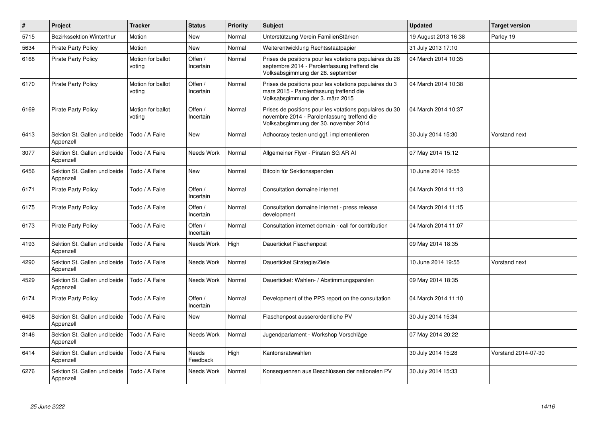| $\vert$ # | Project                                   | <b>Tracker</b>              | <b>Status</b>        | <b>Priority</b> | <b>Subject</b>                                                                                                                                  | <b>Updated</b>       | <b>Target version</b> |
|-----------|-------------------------------------------|-----------------------------|----------------------|-----------------|-------------------------------------------------------------------------------------------------------------------------------------------------|----------------------|-----------------------|
| 5715      | <b>Bezirkssektion Winterthur</b>          | Motion                      | <b>New</b>           | Normal          | Unterstützung Verein FamilienStärken                                                                                                            | 19 August 2013 16:38 | Parley 19             |
| 5634      | <b>Pirate Party Policy</b>                | Motion                      | <b>New</b>           | Normal          | Weiterentwicklung Rechtsstaatpapier                                                                                                             | 31 July 2013 17:10   |                       |
| 6168      | <b>Pirate Party Policy</b>                | Motion for ballot<br>voting | Offen /<br>Incertain | Normal          | Prises de positions pour les votations populaires du 28<br>septembre 2014 - Parolenfassung treffend die<br>Volksabsgimmung der 28. september    | 04 March 2014 10:35  |                       |
| 6170      | <b>Pirate Party Policy</b>                | Motion for ballot<br>voting | Offen /<br>Incertain | Normal          | Prises de positions pour les votations populaires du 3<br>mars 2015 - Parolenfassung treffend die<br>Volksabsgimmung der 3. märz 2015           | 04 March 2014 10:38  |                       |
| 6169      | <b>Pirate Party Policy</b>                | Motion for ballot<br>voting | Offen /<br>Incertain | Normal          | Prises de positions pour les votations populaires du 30<br>novembre 2014 - Parolenfassung treffend die<br>Volksabsgimmung der 30. november 2014 | 04 March 2014 10:37  |                       |
| 6413      | Sektion St. Gallen und beide<br>Appenzell | Todo / A Faire              | New                  | Normal          | Adhocracy testen und ggf. implementieren                                                                                                        | 30 July 2014 15:30   | Vorstand next         |
| 3077      | Sektion St. Gallen und beide<br>Appenzell | Todo / A Faire              | Needs Work           | Normal          | Allgemeiner Flyer - Piraten SG AR AI                                                                                                            | 07 May 2014 15:12    |                       |
| 6456      | Sektion St. Gallen und beide<br>Appenzell | Todo / A Faire              | <b>New</b>           | Normal          | Bitcoin für Sektionsspenden                                                                                                                     | 10 June 2014 19:55   |                       |
| 6171      | <b>Pirate Party Policy</b>                | Todo / A Faire              | Offen /<br>Incertain | Normal          | Consultation domaine internet                                                                                                                   | 04 March 2014 11:13  |                       |
| 6175      | <b>Pirate Party Policy</b>                | Todo / A Faire              | Offen /<br>Incertain | Normal          | Consultation domaine internet - press release<br>development                                                                                    | 04 March 2014 11:15  |                       |
| 6173      | <b>Pirate Party Policy</b>                | Todo / A Faire              | Offen /<br>Incertain | Normal          | Consultation internet domain - call for contribution                                                                                            | 04 March 2014 11:07  |                       |
| 4193      | Sektion St. Gallen und beide<br>Appenzell | Todo / A Faire              | Needs Work           | High            | Dauerticket Flaschenpost                                                                                                                        | 09 May 2014 18:35    |                       |
| 4290      | Sektion St. Gallen und beide<br>Appenzell | Todo / A Faire              | Needs Work           | Normal          | Dauerticket Strategie/Ziele                                                                                                                     | 10 June 2014 19:55   | Vorstand next         |
| 4529      | Sektion St. Gallen und beide<br>Appenzell | Todo / A Faire              | Needs Work           | Normal          | Dauerticket: Wahlen- / Abstimmungsparolen                                                                                                       | 09 May 2014 18:35    |                       |
| 6174      | <b>Pirate Party Policy</b>                | Todo / A Faire              | Offen /<br>Incertain | Normal          | Development of the PPS report on the consultation                                                                                               | 04 March 2014 11:10  |                       |
| 6408      | Sektion St. Gallen und beide<br>Appenzell | Todo / A Faire              | New                  | Normal          | Flaschenpost ausserordentliche PV                                                                                                               | 30 July 2014 15:34   |                       |
| 3146      | Sektion St. Gallen und beide<br>Appenzell | Todo / A Faire              | Needs Work           | Normal          | Jugendparlament - Workshop Vorschläge                                                                                                           | 07 May 2014 20:22    |                       |
| 6414      | Sektion St. Gallen und beide<br>Appenzell | Todo / A Faire              | Needs<br>Feedback    | High            | Kantonsratswahlen                                                                                                                               | 30 July 2014 15:28   | Vorstand 2014-07-30   |
| 6276      | Sektion St. Gallen und beide<br>Appenzell | Todo / A Faire              | Needs Work           | Normal          | Konsequenzen aus Beschlüssen der nationalen PV                                                                                                  | 30 July 2014 15:33   |                       |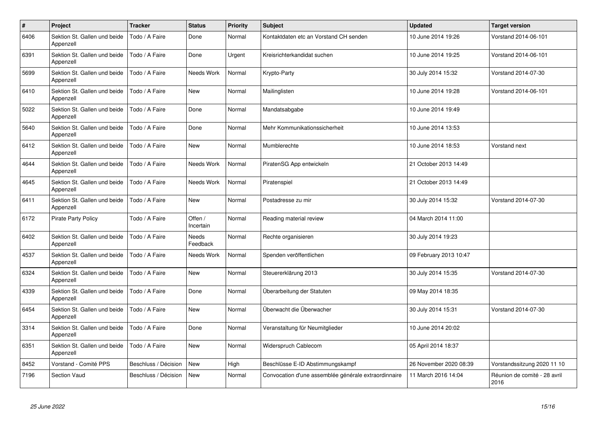| $\#$ | Project                                   | <b>Tracker</b>       | <b>Status</b>        | <b>Priority</b> | <b>Subject</b>                                       | <b>Updated</b>         | <b>Target version</b>                |
|------|-------------------------------------------|----------------------|----------------------|-----------------|------------------------------------------------------|------------------------|--------------------------------------|
| 6406 | Sektion St. Gallen und beide<br>Appenzell | Todo / A Faire       | Done                 | Normal          | Kontaktdaten etc an Vorstand CH senden               | 10 June 2014 19:26     | Vorstand 2014-06-101                 |
| 6391 | Sektion St. Gallen und beide<br>Appenzell | Todo / A Faire       | Done                 | Urgent          | Kreisrichterkandidat suchen                          | 10 June 2014 19:25     | Vorstand 2014-06-101                 |
| 5699 | Sektion St. Gallen und beide<br>Appenzell | Todo / A Faire       | Needs Work           | Normal          | Krypto-Party                                         | 30 July 2014 15:32     | Vorstand 2014-07-30                  |
| 6410 | Sektion St. Gallen und beide<br>Appenzell | Todo / A Faire       | New                  | Normal          | Mailinglisten                                        | 10 June 2014 19:28     | Vorstand 2014-06-101                 |
| 5022 | Sektion St. Gallen und beide<br>Appenzell | Todo / A Faire       | Done                 | Normal          | Mandatsabgabe                                        | 10 June 2014 19:49     |                                      |
| 5640 | Sektion St. Gallen und beide<br>Appenzell | Todo / A Faire       | Done                 | Normal          | Mehr Kommunikationssicherheit                        | 10 June 2014 13:53     |                                      |
| 6412 | Sektion St. Gallen und beide<br>Appenzell | Todo / A Faire       | <b>New</b>           | Normal          | Mumblerechte                                         | 10 June 2014 18:53     | Vorstand next                        |
| 4644 | Sektion St. Gallen und beide<br>Appenzell | Todo / A Faire       | Needs Work           | Normal          | PiratenSG App entwickeln                             | 21 October 2013 14:49  |                                      |
| 4645 | Sektion St. Gallen und beide<br>Appenzell | Todo / A Faire       | Needs Work           | Normal          | Piratenspiel                                         | 21 October 2013 14:49  |                                      |
| 6411 | Sektion St. Gallen und beide<br>Appenzell | Todo / A Faire       | New                  | Normal          | Postadresse zu mir                                   | 30 July 2014 15:32     | Vorstand 2014-07-30                  |
| 6172 | <b>Pirate Party Policy</b>                | Todo / A Faire       | Offen /<br>Incertain | Normal          | Reading material review                              | 04 March 2014 11:00    |                                      |
| 6402 | Sektion St. Gallen und beide<br>Appenzell | Todo / A Faire       | Needs<br>Feedback    | Normal          | Rechte organisieren                                  | 30 July 2014 19:23     |                                      |
| 4537 | Sektion St. Gallen und beide<br>Appenzell | Todo / A Faire       | Needs Work           | Normal          | Spenden veröffentlichen                              | 09 February 2013 10:47 |                                      |
| 6324 | Sektion St. Gallen und beide<br>Appenzell | Todo / A Faire       | New                  | Normal          | Steuererklärung 2013                                 | 30 July 2014 15:35     | Vorstand 2014-07-30                  |
| 4339 | Sektion St. Gallen und beide<br>Appenzell | Todo / A Faire       | Done                 | Normal          | Überarbeitung der Statuten                           | 09 May 2014 18:35      |                                      |
| 6454 | Sektion St. Gallen und beide<br>Appenzell | Todo / A Faire       | <b>New</b>           | Normal          | Überwacht die Überwacher                             | 30 July 2014 15:31     | Vorstand 2014-07-30                  |
| 3314 | Sektion St. Gallen und beide<br>Appenzell | Todo / A Faire       | Done                 | Normal          | Veranstaltung für Neumitglieder                      | 10 June 2014 20:02     |                                      |
| 6351 | Sektion St. Gallen und beide<br>Appenzell | Todo / A Faire       | <b>New</b>           | Normal          | Widerspruch Cablecom                                 | 05 April 2014 18:37    |                                      |
| 8452 | Vorstand - Comité PPS                     | Beschluss / Décision | <b>New</b>           | High            | Beschlüsse E-ID Abstimmungskampf                     | 26 November 2020 08:39 | Vorstandssitzung 2020 11 10          |
| 7196 | <b>Section Vaud</b>                       | Beschluss / Décision | <b>New</b>           | Normal          | Convocation d'une assemblée générale extraordinnaire | 11 March 2016 14:04    | Réunion de comité - 28 avril<br>2016 |